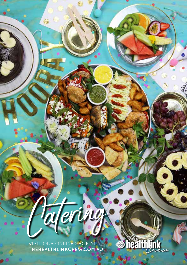VISIT OUR ONLINE SHOP AT **THEHEALTHLINKCREW.COM.AU**

e

ering

**Shealthlink**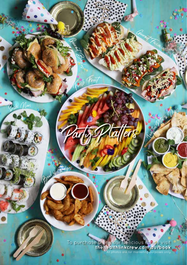To purchase & see our delicious range visit **thehealthlinkcrew.com.au/book** All photos are for marketing purposes only

**HILLIUM LAND** 

X.

Party Platters

Gourned Forces

To a street P its

Gourmet Bagles

Fresh Fruit

<sup>B</sup>o<sup>w</sup><sup>l</sup> <sup>o</sup><sup>f</sup> <sup>W</sup>edg<sup>e</sup><sup>s</sup>

**CONSTRUCTION** 

**All finances** 

Su<sup>s</sup>h<sup>i</sup> Nor<sup>i</sup>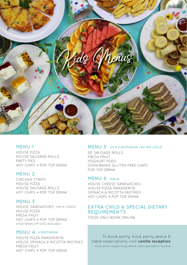

### **MENU 1**

HOUSE PIZZA HOUSE SAUSAGE ROLLS PARTY PIES HOT CHIPS + POP TOP DRINK

### **MENU 2**

CHICKEN STRIPS HOUSE PIZZA HOUSE SAUSAGE ROLLS HOT CHIPS + POP TOP DRINK

### **MENU 3**

HOUSE SANDWICHES HAM & CHEESE HOUSE PIZZA FRESH FRUIT HOT CHIPS + POP TOP DRINK VEGETARIAN OPTIONS AVAILABLE

### **MENU 4 VEGETARIAN**

HOUSE PIZZA MARGHERITA HOUSE SPINACH & RICOTTA PASTRIES FRESH FRUIT HOT CHIPS + POP TOP DRINK

### **MENU 5 GF & VEGETARIAN +\$4 PER CHILD**

GF SAUSAGE ROLLS FRESH FRUIT YOGHURT PODS OVEN BAKED GLUTEN FREE CHIPS POP TOP DRINK

### **MENU 6** HALAL

HOUSE CHEESE SANDWICHES HOUSE PIZZA MARGHERITA SPINACH & RICOTTA PASTRIES HOT CHIPS + POP TOP DRINK

# **EXTRA CHILD & SPECIAL DIETARY REQUIREMENTS**

FOOD ONLY BOOK ONLINE

To book party, food, party space & table reservations visit **centre reception** \*Pizza will be margherita by default unless specified as hawaiian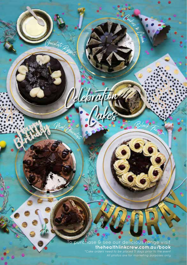# **To purchase & see our delicious range visit**<br>
\*Cake orders need to be placed 5 days prior to the event

Party Cakes

Celebration

E Cakes

**BLACK FOREST** 

**MALT** 

**COLORED CREAM** 

Mal Chocolate

<sup>C</sup><sup>h</sup><sup>o</sup>colat<sup>e</sup> <sup>R</sup>ipp<sup>l</sup><sup>e</sup>

**COOKIES & CREAM** 

<sup>B</sup>l<sup>a</sup>c<sup>k</sup> <sup>F</sup><sup>o</sup>res<sup>t</sup>

Company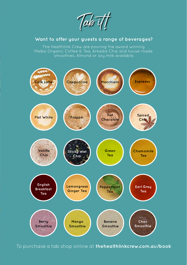Tab<sup>-</sup>i

## **Want to offer your guests a range of beverages?**

Melba Organic Coffee & Tea, Arkadia Chai and house-made smoothies. Almond or soy milk available.



To purchase a tab shop online at **thehealthlinkcrew.com.au/book**